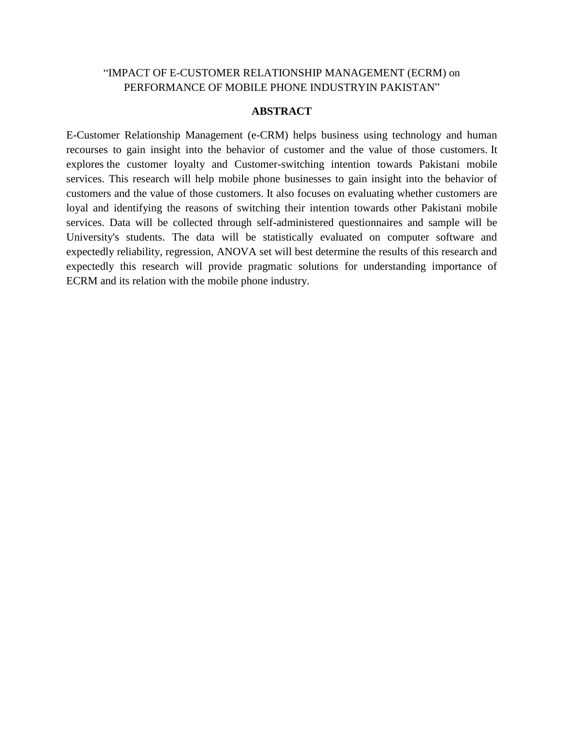## "IMPACT OF E-CUSTOMER RELATIONSHIP MANAGEMENT (ECRM) on PERFORMANCE OF MOBILE PHONE INDUSTRYIN PAKISTAN"

### **ABSTRACT**

E-Customer Relationship Management (e-CRM) helps business using technology and human recourses to gain insight into the behavior of customer and the value of those customers. It explores the customer loyalty and Customer-switching intention towards Pakistani mobile services. This research will help mobile phone businesses to gain insight into the behavior of customers and the value of those customers. It also focuses on evaluating whether customers are loyal and identifying the reasons of switching their intention towards other Pakistani mobile services. Data will be collected through self-administered questionnaires and sample will be University's students. The data will be statistically evaluated on computer software and expectedly reliability, regression, ANOVA set will best determine the results of this research and expectedly this research will provide pragmatic solutions for understanding importance of ECRM and its relation with the mobile phone industry.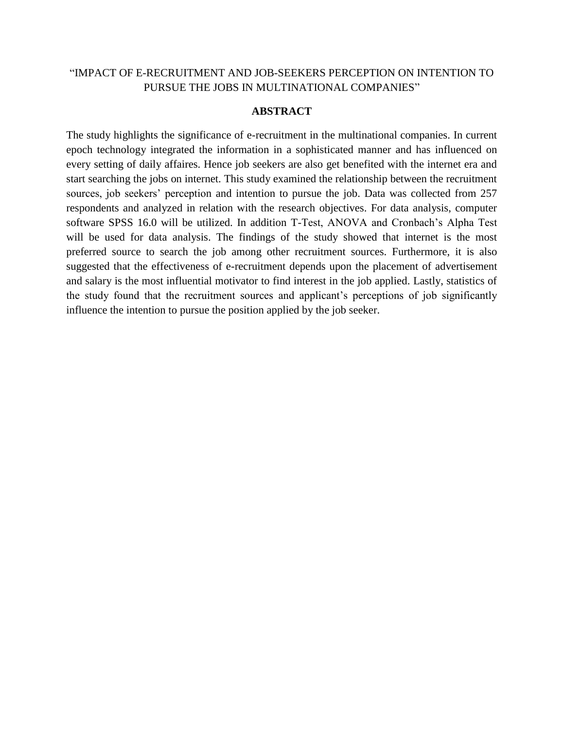# "IMPACT OF E-RECRUITMENT AND JOB-SEEKERS PERCEPTION ON INTENTION TO PURSUE THE JOBS IN MULTINATIONAL COMPANIES"

#### **ABSTRACT**

The study highlights the significance of e-recruitment in the multinational companies. In current epoch technology integrated the information in a sophisticated manner and has influenced on every setting of daily affaires. Hence job seekers are also get benefited with the internet era and start searching the jobs on internet. This study examined the relationship between the recruitment sources, job seekers' perception and intention to pursue the job. Data was collected from 257 respondents and analyzed in relation with the research objectives. For data analysis, computer software SPSS 16.0 will be utilized. In addition T-Test, ANOVA and Cronbach's Alpha Test will be used for data analysis. The findings of the study showed that internet is the most preferred source to search the job among other recruitment sources. Furthermore, it is also suggested that the effectiveness of e-recruitment depends upon the placement of advertisement and salary is the most influential motivator to find interest in the job applied. Lastly, statistics of the study found that the recruitment sources and applicant"s perceptions of job significantly influence the intention to pursue the position applied by the job seeker.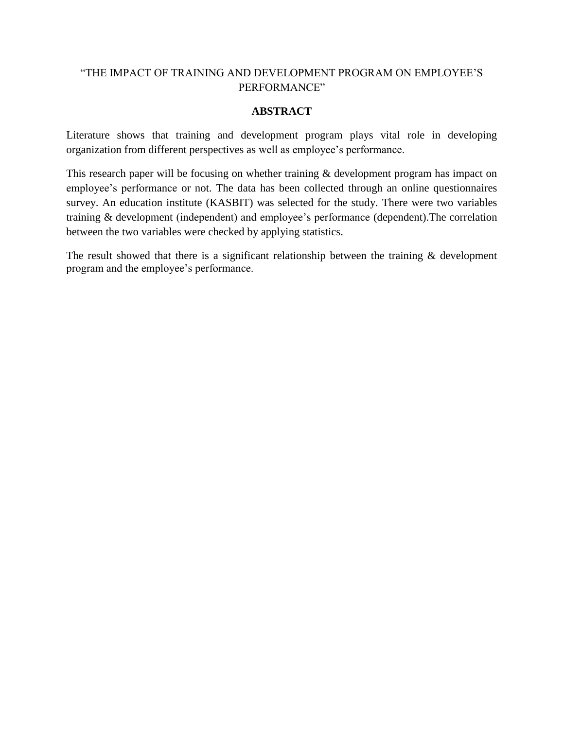# "THE IMPACT OF TRAINING AND DEVELOPMENT PROGRAM ON EMPLOYEE"S PERFORMANCE"

# **ABSTRACT**

Literature shows that training and development program plays vital role in developing organization from different perspectives as well as employee"s performance.

This research paper will be focusing on whether training & development program has impact on employee"s performance or not. The data has been collected through an online questionnaires survey. An education institute (KASBIT) was selected for the study. There were two variables training & development (independent) and employee"s performance (dependent).The correlation between the two variables were checked by applying statistics.

The result showed that there is a significant relationship between the training  $\&$  development program and the employee"s performance.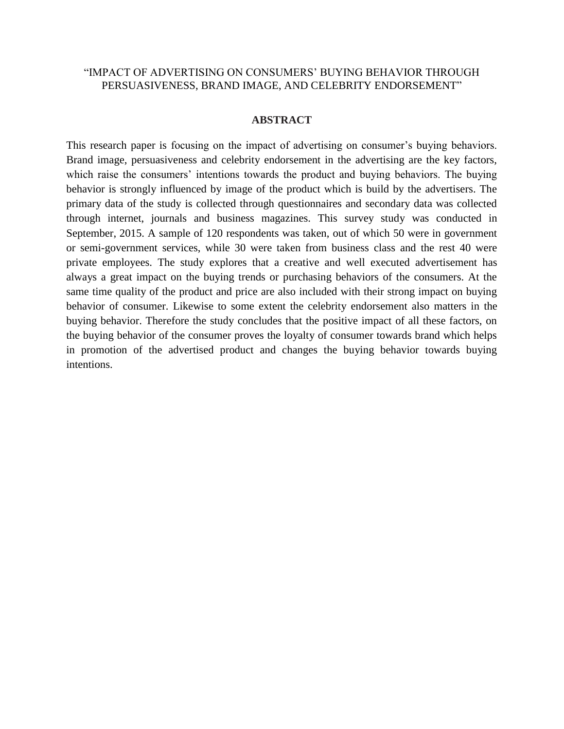# "IMPACT OF ADVERTISING ON CONSUMERS" BUYING BEHAVIOR THROUGH PERSUASIVENESS, BRAND IMAGE, AND CELEBRITY ENDORSEMENT"

#### **ABSTRACT**

This research paper is focusing on the impact of advertising on consumer's buying behaviors. Brand image, persuasiveness and celebrity endorsement in the advertising are the key factors, which raise the consumers' intentions towards the product and buying behaviors. The buying behavior is strongly influenced by image of the product which is build by the advertisers. The primary data of the study is collected through questionnaires and secondary data was collected through internet, journals and business magazines. This survey study was conducted in September, 2015. A sample of 120 respondents was taken, out of which 50 were in government or semi-government services, while 30 were taken from business class and the rest 40 were private employees. The study explores that a creative and well executed advertisement has always a great impact on the buying trends or purchasing behaviors of the consumers. At the same time quality of the product and price are also included with their strong impact on buying behavior of consumer. Likewise to some extent the celebrity endorsement also matters in the buying behavior. Therefore the study concludes that the positive impact of all these factors, on the buying behavior of the consumer proves the loyalty of consumer towards brand which helps in promotion of the advertised product and changes the buying behavior towards buying intentions.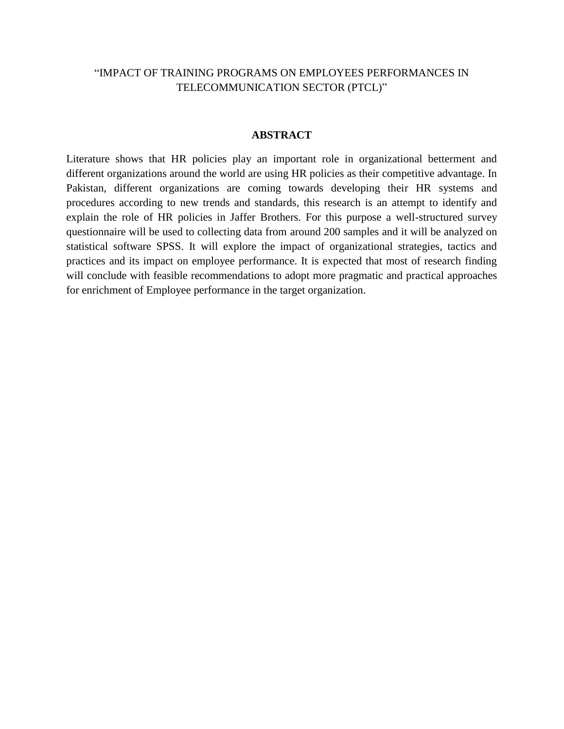# "IMPACT OF TRAINING PROGRAMS ON EMPLOYEES PERFORMANCES IN TELECOMMUNICATION SECTOR (PTCL)"

#### **ABSTRACT**

Literature shows that HR policies play an important role in organizational betterment and different organizations around the world are using HR policies as their competitive advantage. In Pakistan, different organizations are coming towards developing their HR systems and procedures according to new trends and standards, this research is an attempt to identify and explain the role of HR policies in Jaffer Brothers. For this purpose a well-structured survey questionnaire will be used to collecting data from around 200 samples and it will be analyzed on statistical software SPSS. It will explore the impact of organizational strategies, tactics and practices and its impact on employee performance. It is expected that most of research finding will conclude with feasible recommendations to adopt more pragmatic and practical approaches for enrichment of Employee performance in the target organization.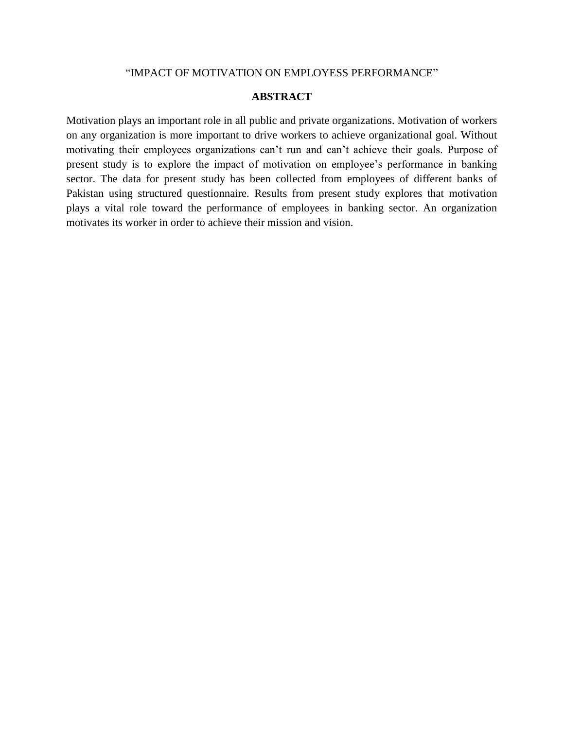#### "IMPACT OF MOTIVATION ON EMPLOYESS PERFORMANCE"

### **ABSTRACT**

Motivation plays an important role in all public and private organizations. Motivation of workers on any organization is more important to drive workers to achieve organizational goal. Without motivating their employees organizations can"t run and can"t achieve their goals. Purpose of present study is to explore the impact of motivation on employee"s performance in banking sector. The data for present study has been collected from employees of different banks of Pakistan using structured questionnaire. Results from present study explores that motivation plays a vital role toward the performance of employees in banking sector. An organization motivates its worker in order to achieve their mission and vision.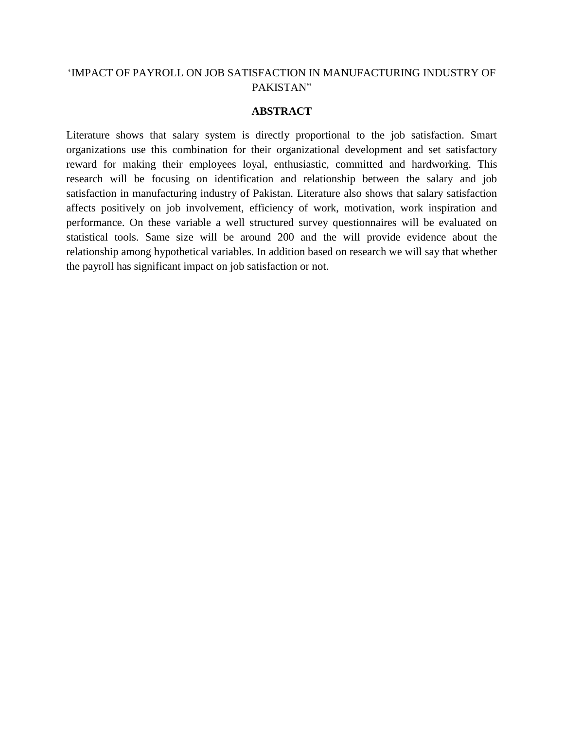# "IMPACT OF PAYROLL ON JOB SATISFACTION IN MANUFACTURING INDUSTRY OF PAKISTAN"

### **ABSTRACT**

Literature shows that salary system is directly proportional to the job satisfaction. Smart organizations use this combination for their organizational development and set satisfactory reward for making their employees loyal, enthusiastic, committed and hardworking. This research will be focusing on identification and relationship between the salary and job satisfaction in manufacturing industry of Pakistan. Literature also shows that salary satisfaction affects positively on job involvement, efficiency of work, motivation, work inspiration and performance. On these variable a well structured survey questionnaires will be evaluated on statistical tools. Same size will be around 200 and the will provide evidence about the relationship among hypothetical variables. In addition based on research we will say that whether the payroll has significant impact on job satisfaction or not.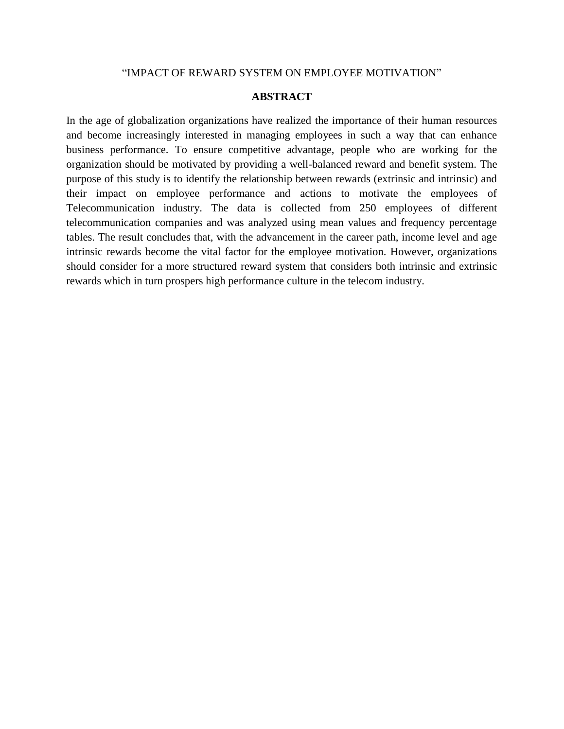#### "IMPACT OF REWARD SYSTEM ON EMPLOYEE MOTIVATION"

### **ABSTRACT**

In the age of globalization organizations have realized the importance of their human resources and become increasingly interested in managing employees in such a way that can enhance business performance. To ensure competitive advantage, people who are working for the organization should be motivated by providing a well-balanced reward and benefit system. The purpose of this study is to identify the relationship between rewards (extrinsic and intrinsic) and their impact on employee performance and actions to motivate the employees of Telecommunication industry. The data is collected from 250 employees of different telecommunication companies and was analyzed using mean values and frequency percentage tables. The result concludes that, with the advancement in the career path, income level and age intrinsic rewards become the vital factor for the employee motivation. However, organizations should consider for a more structured reward system that considers both intrinsic and extrinsic rewards which in turn prospers high performance culture in the telecom industry.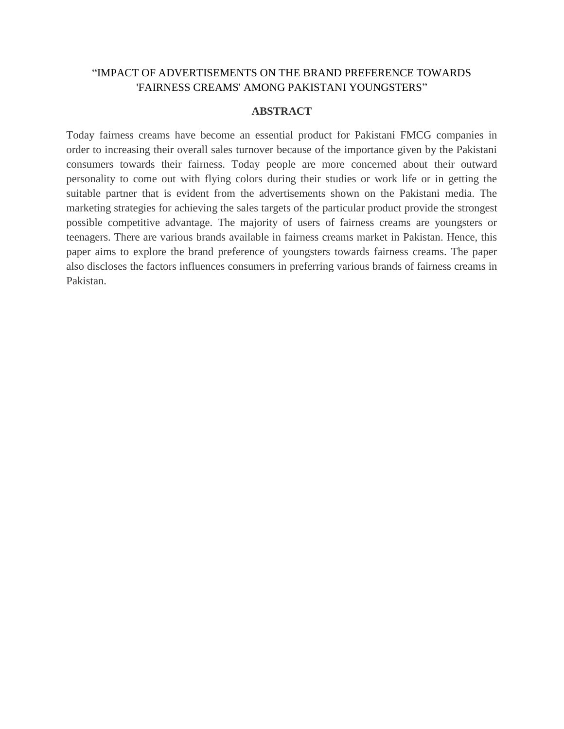# "IMPACT OF ADVERTISEMENTS ON THE BRAND PREFERENCE TOWARDS 'FAIRNESS CREAMS' AMONG PAKISTANI YOUNGSTERS"

### **ABSTRACT**

Today fairness creams have become an essential product for Pakistani FMCG companies in order to increasing their overall sales turnover because of the importance given by the Pakistani consumers towards their fairness. Today people are more concerned about their outward personality to come out with flying colors during their studies or work life or in getting the suitable partner that is evident from the advertisements shown on the Pakistani media. The marketing strategies for achieving the sales targets of the particular product provide the strongest possible competitive advantage. The majority of users of fairness creams are youngsters or teenagers. There are various brands available in fairness creams market in Pakistan. Hence, this paper aims to explore the brand preference of youngsters towards fairness creams. The paper also discloses the factors influences consumers in preferring various brands of fairness creams in Pakistan.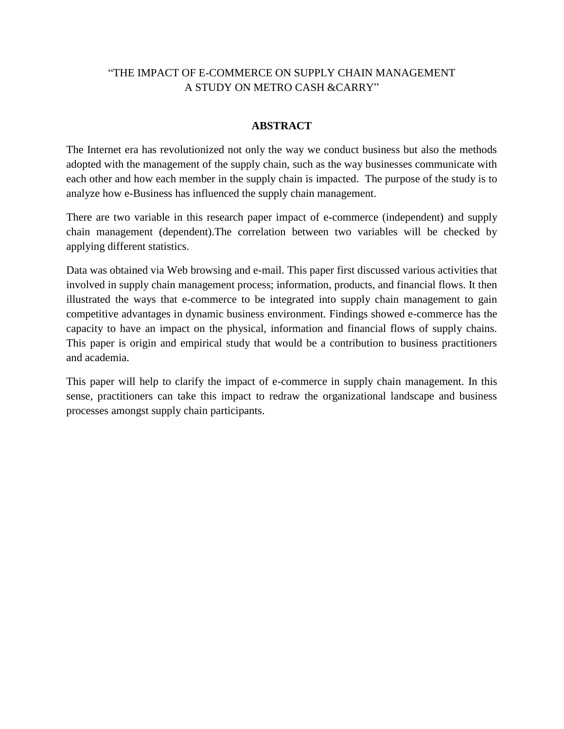# "THE IMPACT OF E-COMMERCE ON SUPPLY CHAIN MANAGEMENT A STUDY ON METRO CASH &CARRY"

# **ABSTRACT**

The Internet era has revolutionized not only the way we conduct business but also the methods adopted with the management of the supply chain, such as the way businesses communicate with each other and how each member in the supply chain is impacted. The purpose of the study is to analyze how e-Business has influenced the supply chain management.

There are two variable in this research paper impact of e-commerce (independent) and supply chain management (dependent).The correlation between two variables will be checked by applying different statistics.

Data was obtained via Web browsing and e-mail. This paper first discussed various activities that involved in supply chain management process; information, products, and financial flows. It then illustrated the ways that e-commerce to be integrated into supply chain management to gain competitive advantages in dynamic business environment. Findings showed e-commerce has the capacity to have an impact on the physical, information and financial flows of supply chains. This paper is origin and empirical study that would be a contribution to business practitioners and academia.

This paper will help to clarify the impact of e-commerce in supply chain management. In this sense, practitioners can take this impact to redraw the organizational landscape and business processes amongst supply chain participants.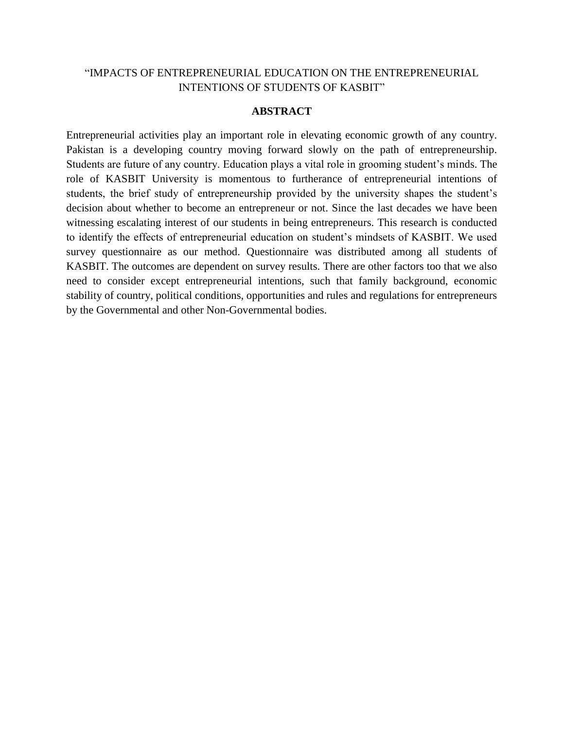# "IMPACTS OF ENTREPRENEURIAL EDUCATION ON THE ENTREPRENEURIAL INTENTIONS OF STUDENTS OF KASBIT"

### **ABSTRACT**

Entrepreneurial activities play an important role in elevating economic growth of any country. Pakistan is a developing country moving forward slowly on the path of entrepreneurship. Students are future of any country. Education plays a vital role in grooming student"s minds. The role of KASBIT University is momentous to furtherance of entrepreneurial intentions of students, the brief study of entrepreneurship provided by the university shapes the student's decision about whether to become an entrepreneur or not. Since the last decades we have been witnessing escalating interest of our students in being entrepreneurs. This research is conducted to identify the effects of entrepreneurial education on student"s mindsets of KASBIT. We used survey questionnaire as our method. Questionnaire was distributed among all students of KASBIT. The outcomes are dependent on survey results. There are other factors too that we also need to consider except entrepreneurial intentions, such that family background, economic stability of country, political conditions, opportunities and rules and regulations for entrepreneurs by the Governmental and other Non-Governmental bodies.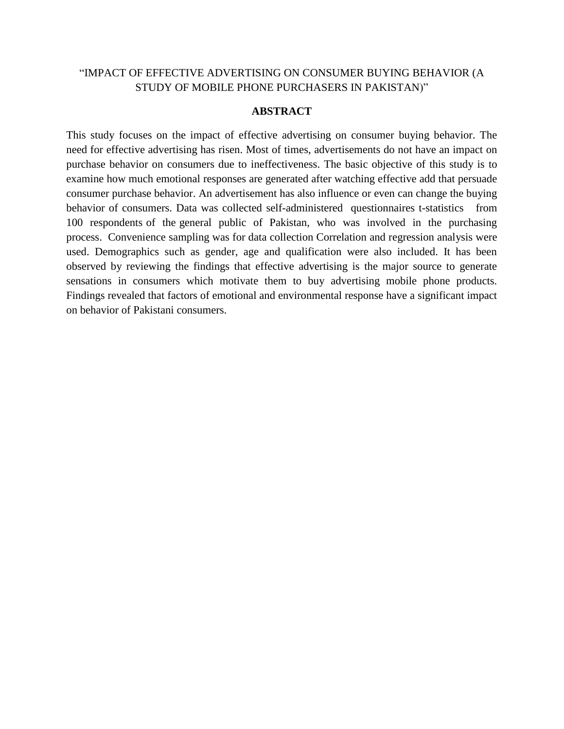# "IMPACT OF EFFECTIVE ADVERTISING ON CONSUMER BUYING BEHAVIOR (A STUDY OF MOBILE PHONE PURCHASERS IN PAKISTAN)"

### **ABSTRACT**

This study focuses on the impact of effective advertising on consumer buying behavior. The need for effective advertising has risen. Most of times, advertisements do not have an impact on purchase behavior on consumers due to ineffectiveness. The basic objective of this study is to examine how much emotional responses are generated after watching effective add that persuade consumer purchase behavior. An advertisement has also influence or even can change the buying behavior of consumers. Data was collected self-administered questionnaires t-statistics from 100 respondents of the general public of Pakistan, who was involved in the purchasing process. Convenience sampling was for data collection Correlation and regression analysis were used. Demographics such as gender, age and qualification were also included. It has been observed by reviewing the findings that effective advertising is the major source to generate sensations in consumers which motivate them to buy advertising mobile phone products. Findings revealed that factors of emotional and environmental response have a significant impact on behavior of Pakistani consumers.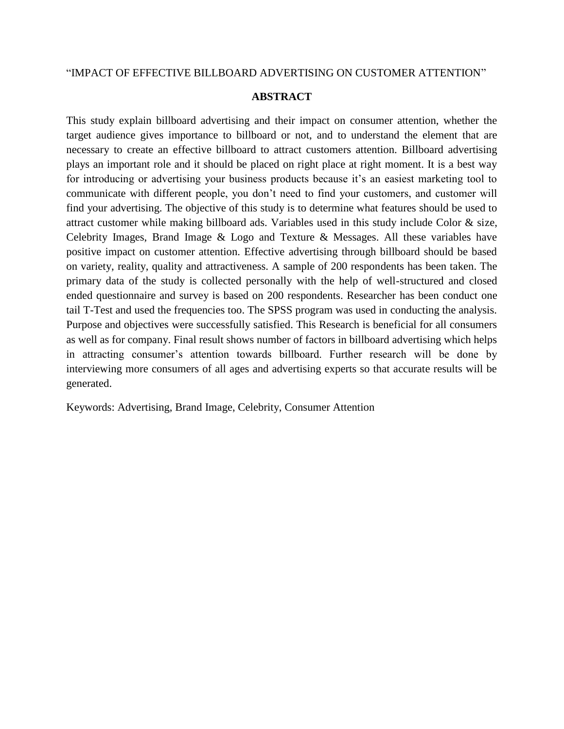### "IMPACT OF EFFECTIVE BILLBOARD ADVERTISING ON CUSTOMER ATTENTION"

### **ABSTRACT**

This study explain billboard advertising and their impact on consumer attention, whether the target audience gives importance to billboard or not, and to understand the element that are necessary to create an effective billboard to attract customers attention. Billboard advertising plays an important role and it should be placed on right place at right moment. It is a best way for introducing or advertising your business products because it's an easiest marketing tool to communicate with different people, you don"t need to find your customers, and customer will find your advertising. The objective of this study is to determine what features should be used to attract customer while making billboard ads. Variables used in this study include Color & size, Celebrity Images, Brand Image & Logo and Texture & Messages. All these variables have positive impact on customer attention. Effective advertising through billboard should be based on variety, reality, quality and attractiveness. A sample of 200 respondents has been taken. The primary data of the study is collected personally with the help of well-structured and closed ended questionnaire and survey is based on 200 respondents. Researcher has been conduct one tail T-Test and used the frequencies too. The SPSS program was used in conducting the analysis. Purpose and objectives were successfully satisfied. This Research is beneficial for all consumers as well as for company. Final result shows number of factors in billboard advertising which helps in attracting consumer's attention towards billboard. Further research will be done by interviewing more consumers of all ages and advertising experts so that accurate results will be generated.

Keywords: Advertising, Brand Image, Celebrity, Consumer Attention